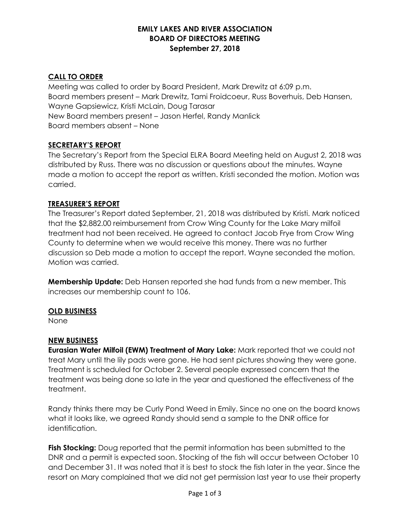### **EMILY LAKES AND RIVER ASSOCIATION BOARD OF DIRECTORS MEETING September 27, 2018**

## **CALL TO ORDER**

Meeting was called to order by Board President, Mark Drewitz at 6:09 p.m. Board members present – Mark Drewitz, Tami Froidcoeur, Russ Boverhuis, Deb Hansen, Wayne Gapsiewicz, Kristi McLain, Doug Tarasar New Board members present – Jason Herfel, Randy Manlick Board members absent – None

## **SECRETARY'S REPORT**

The Secretary's Report from the Special ELRA Board Meeting held on August 2, 2018 was distributed by Russ. There was no discussion or questions about the minutes. Wayne made a motion to accept the report as written. Kristi seconded the motion. Motion was carried.

### **TREASURER'S REPORT**

The Treasurer's Report dated September, 21, 2018 was distributed by Kristi. Mark noticed that the \$2,882.00 reimbursement from Crow Wing County for the Lake Mary milfoil treatment had not been received. He agreed to contact Jacob Frye from Crow Wing County to determine when we would receive this money. There was no further discussion so Deb made a motion to accept the report. Wayne seconded the motion. Motion was carried.

**Membership Update:** Deb Hansen reported she had funds from a new member. This increases our membership count to 106.

### **OLD BUSINESS**

None

# **NEW BUSINESS**

**Eurasian Water Milfoil (EWM) Treatment of Mary Lake:** Mark reported that we could not treat Mary until the lily pads were gone. He had sent pictures showing they were gone. Treatment is scheduled for October 2. Several people expressed concern that the treatment was being done so late in the year and questioned the effectiveness of the treatment.

Randy thinks there may be Curly Pond Weed in Emily. Since no one on the board knows what it looks like, we agreed Randy should send a sample to the DNR office for identification.

**Fish Stocking:** Doug reported that the permit information has been submitted to the DNR and a permit is expected soon. Stocking of the fish will occur between October 10 and December 31. It was noted that it is best to stock the fish later in the year. Since the resort on Mary complained that we did not get permission last year to use their property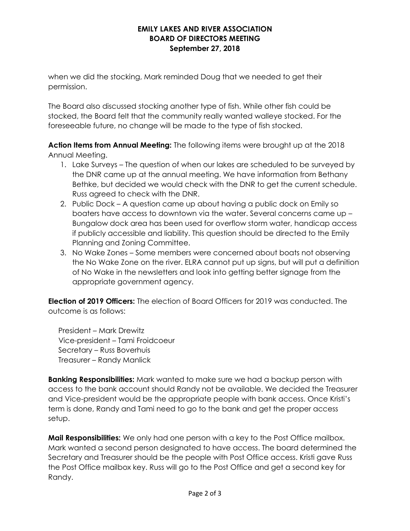### **EMILY LAKES AND RIVER ASSOCIATION BOARD OF DIRECTORS MEETING September 27, 2018**

when we did the stocking, Mark reminded Doug that we needed to get their permission.

The Board also discussed stocking another type of fish. While other fish could be stocked, the Board felt that the community really wanted walleye stocked. For the foreseeable future, no change will be made to the type of fish stocked.

**Action Items from Annual Meeting:** The following items were brought up at the 2018 Annual Meeting.

- 1. Lake Surveys The question of when our lakes are scheduled to be surveyed by the DNR came up at the annual meeting. We have information from Bethany Bethke, but decided we would check with the DNR to get the current schedule. Russ agreed to check with the DNR.
- 2. Public Dock A question came up about having a public dock on Emily so boaters have access to downtown via the water. Several concerns came up – Bungalow dock area has been used for overflow storm water, handicap access if publicly accessible and liability. This question should be directed to the Emily Planning and Zoning Committee.
- 3. No Wake Zones Some members were concerned about boats not observing the No Wake Zone on the river. ELRA cannot put up signs, but will put a definition of No Wake in the newsletters and look into getting better signage from the appropriate government agency.

**Election of 2019 Officers:** The election of Board Officers for 2019 was conducted. The outcome is as follows:

 President – Mark Drewitz Vice-president – Tami Froidcoeur Secretary – Russ Boverhuis Treasurer – Randy Manlick

**Banking Responsibilities:** Mark wanted to make sure we had a backup person with access to the bank account should Randy not be available. We decided the Treasurer and Vice-president would be the appropriate people with bank access. Once Kristi's term is done, Randy and Tami need to go to the bank and get the proper access setup.

**Mail Responsibilities:** We only had one person with a key to the Post Office mailbox. Mark wanted a second person designated to have access. The board determined the Secretary and Treasurer should be the people with Post Office access. Kristi gave Russ the Post Office mailbox key. Russ will go to the Post Office and get a second key for Randy.